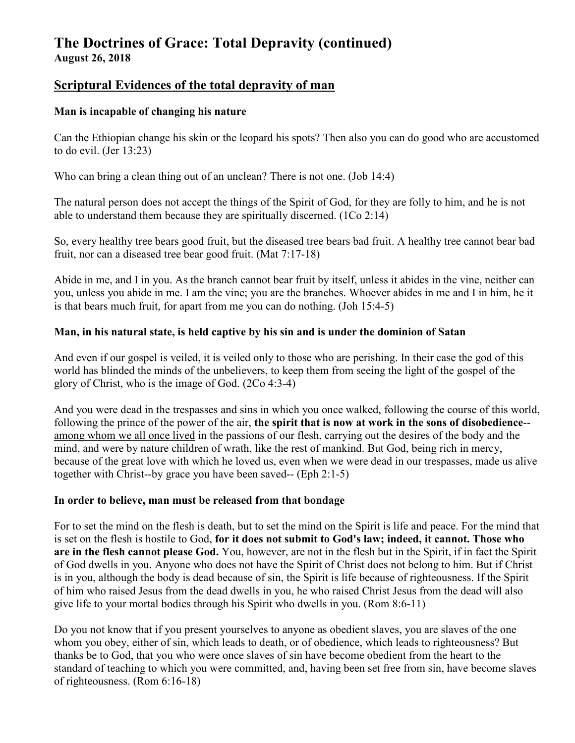# **The Doctrines of Grace: Total Depravity (continued) August 26, 2018**

## **Scriptural Evidences of the total depravity of man**

### **Man is incapable of changing his nature**

Can the Ethiopian change his skin or the leopard his spots? Then also you can do good who are accustomed to do evil. (Jer 13:23)

Who can bring a clean thing out of an unclean? There is not one. (Job 14:4)

The natural person does not accept the things of the Spirit of God, for they are folly to him, and he is not able to understand them because they are spiritually discerned. (1Co 2:14)

So, every healthy tree bears good fruit, but the diseased tree bears bad fruit. A healthy tree cannot bear bad fruit, nor can a diseased tree bear good fruit. (Mat 7:17-18)

Abide in me, and I in you. As the branch cannot bear fruit by itself, unless it abides in the vine, neither can you, unless you abide in me. I am the vine; you are the branches. Whoever abides in me and I in him, he it is that bears much fruit, for apart from me you can do nothing. (Joh 15:4-5)

#### **Man, in his natural state, is held captive by his sin and is under the dominion of Satan**

And even if our gospel is veiled, it is veiled only to those who are perishing. In their case the god of this world has blinded the minds of the unbelievers, to keep them from seeing the light of the gospel of the glory of Christ, who is the image of God. (2Co 4:3-4)

And you were dead in the trespasses and sins in which you once walked, following the course of this world, following the prince of the power of the air, **the spirit that is now at work in the sons of disobedience**- among whom we all once lived in the passions of our flesh, carrying out the desires of the body and the mind, and were by nature children of wrath, like the rest of mankind. But God, being rich in mercy, because of the great love with which he loved us, even when we were dead in our trespasses, made us alive together with Christ--by grace you have been saved-- (Eph 2:1-5)

#### **In order to believe, man must be released from that bondage**

For to set the mind on the flesh is death, but to set the mind on the Spirit is life and peace. For the mind that is set on the flesh is hostile to God, **for it does not submit to God's law; indeed, it cannot. Those who are in the flesh cannot please God.** You, however, are not in the flesh but in the Spirit, if in fact the Spirit of God dwells in you. Anyone who does not have the Spirit of Christ does not belong to him. But if Christ is in you, although the body is dead because of sin, the Spirit is life because of righteousness. If the Spirit of him who raised Jesus from the dead dwells in you, he who raised Christ Jesus from the dead will also give life to your mortal bodies through his Spirit who dwells in you. (Rom 8:6-11)

Do you not know that if you present yourselves to anyone as obedient slaves, you are slaves of the one whom you obey, either of sin, which leads to death, or of obedience, which leads to righteousness? But thanks be to God, that you who were once slaves of sin have become obedient from the heart to the standard of teaching to which you were committed, and, having been set free from sin, have become slaves of righteousness. (Rom 6:16-18)